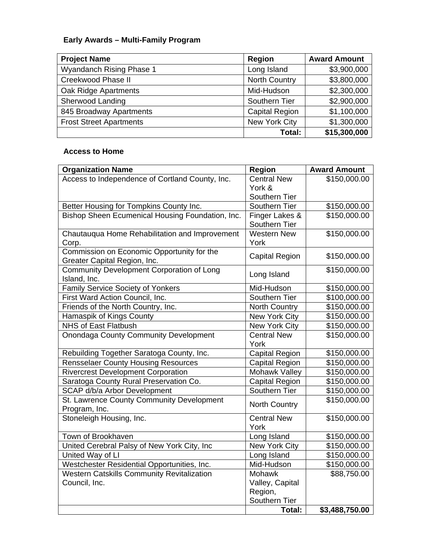## **Early Awards – Multi-Family Program**

| <b>Project Name</b>            | Region                | <b>Award Amount</b> |
|--------------------------------|-----------------------|---------------------|
| Wyandanch Rising Phase 1       | Long Island           | \$3,900,000         |
| Creekwood Phase II             | North Country         | \$3,800,000         |
| Oak Ridge Apartments           | Mid-Hudson            | \$2,300,000         |
| Sherwood Landing               | Southern Tier         | \$2,900,000         |
| 845 Broadway Apartments        | <b>Capital Region</b> | \$1,100,000         |
| <b>Frost Street Apartments</b> | New York City         | \$1,300,000         |
|                                | Total:                | \$15,300,000        |

## **Access to Home**

| <b>Organization Name</b>                                                   | <b>Region</b>            | <b>Award Amount</b> |
|----------------------------------------------------------------------------|--------------------------|---------------------|
| Access to Independence of Cortland County, Inc.                            | <b>Central New</b>       | \$150,000.00        |
|                                                                            | York &                   |                     |
|                                                                            | Southern Tier            |                     |
| Better Housing for Tompkins County Inc.                                    | Southern Tier            | \$150,000.00        |
| Bishop Sheen Ecumenical Housing Foundation, Inc.                           | Finger Lakes &           | \$150,000.00        |
|                                                                            | Southern Tier            |                     |
| Chautauqua Home Rehabilitation and Improvement                             | <b>Western New</b>       | \$150,000.00        |
| Corp.                                                                      | York                     |                     |
| Commission on Economic Opportunity for the<br>Greater Capital Region, Inc. | <b>Capital Region</b>    | \$150,000.00        |
| Community Development Corporation of Long                                  |                          | \$150,000.00        |
| Island, Inc.                                                               | Long Island              |                     |
| Family Service Society of Yonkers                                          | Mid-Hudson               | \$150,000.00        |
| First Ward Action Council, Inc.                                            | Southern Tier            | \$100,000.00        |
| Friends of the North Country, Inc.                                         | <b>North Country</b>     | \$150,000.00        |
| Hamaspik of Kings County                                                   | New York City            | \$150,000.00        |
| <b>NHS of East Flatbush</b>                                                | <b>New York City</b>     | \$150,000.00        |
| <b>Onondaga County Community Development</b>                               | <b>Central New</b>       | \$150,000.00        |
|                                                                            | York                     |                     |
| Rebuilding Together Saratoga County, Inc.                                  | <b>Capital Region</b>    | \$150,000.00        |
| <b>Rensselaer County Housing Resources</b>                                 | <b>Capital Region</b>    | \$150,000.00        |
| <b>Rivercrest Development Corporation</b>                                  | Mohawk Valley            | \$150,000.00        |
| Saratoga County Rural Preservation Co.                                     | <b>Capital Region</b>    | \$150,000.00        |
| SCAP d/b/a Arbor Development                                               | Southern Tier            | \$150,000.00        |
| St. Lawrence County Community Development                                  | North Country            | \$150,000.00        |
| Program, Inc.                                                              |                          |                     |
| Stoneleigh Housing, Inc.                                                   | <b>Central New</b>       | \$150,000.00        |
|                                                                            | York                     |                     |
| Town of Brookhaven                                                         | Long Island              | \$150,000.00        |
| United Cerebral Palsy of New York City, Inc                                | New York City            | \$150,000.00        |
| United Way of LI                                                           | Long Island              | \$150,000.00        |
| Westchester Residential Opportunities, Inc.                                | Mid-Hudson               | \$150,000.00        |
| <b>Western Catskills Community Revitalization</b>                          | Mohawk                   | \$88,750.00         |
| Council, Inc.                                                              | Valley, Capital          |                     |
|                                                                            | Region,<br>Southern Tier |                     |
|                                                                            | Total:                   | \$3,488,750.00      |
|                                                                            |                          |                     |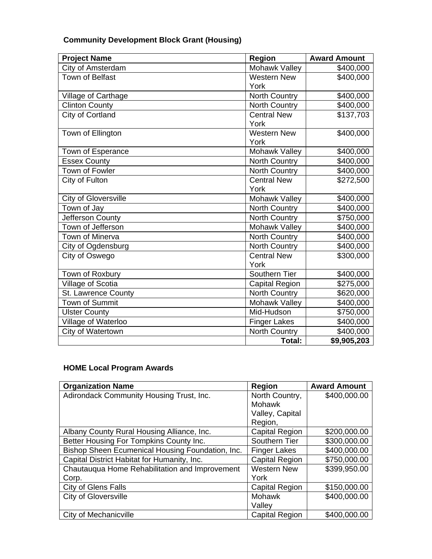| <b>Project Name</b>    | <b>Region</b>         | <b>Award Amount</b> |
|------------------------|-----------------------|---------------------|
| City of Amsterdam      | Mohawk Valley         | \$400,000           |
| <b>Town of Belfast</b> | <b>Western New</b>    | \$400,000           |
|                        | York                  |                     |
| Village of Carthage    | North Country         | \$400,000           |
| Clinton County         | North Country         | \$400,000           |
| City of Cortland       | <b>Central New</b>    | \$137,703           |
|                        | York                  |                     |
| Town of Ellington      | <b>Western New</b>    | \$400,000           |
|                        | York                  |                     |
| Town of Esperance      | Mohawk Valley         | \$400,000           |
| <b>Essex County</b>    | North Country         | \$400,000           |
| <b>Town of Fowler</b>  | North Country         | \$400,000           |
| City of Fulton         | <b>Central New</b>    | \$272,500           |
|                        | York                  |                     |
| City of Gloversville   | Mohawk Valley         | \$400,000           |
| Town of Jay            | <b>North Country</b>  | \$400,000           |
| Jefferson County       | North Country         | \$750,000           |
| Town of Jefferson      | Mohawk Valley         | \$400,000           |
| Town of Minerva        | North Country         | \$400,000           |
| City of Ogdensburg     | North Country         | \$400,000           |
| City of Oswego         | <b>Central New</b>    | \$300,000           |
|                        | York                  |                     |
| Town of Roxbury        | Southern Tier         | \$400,000           |
| Village of Scotia      | <b>Capital Region</b> | \$275,000           |
| St. Lawrence County    | North Country         | \$620,000           |
| Town of Summit         | Mohawk Valley         | \$400,000           |
| <b>Ulster County</b>   | Mid-Hudson            | \$750,000           |
| Village of Waterloo    | Finger Lakes          | \$400,000           |
| City of Watertown      | <b>North Country</b>  | \$400,000           |
|                        | Total:                | \$9,905,203         |

## **HOME Local Program Awards**

| <b>Organization Name</b>                         | <b>Region</b>         | <b>Award Amount</b> |
|--------------------------------------------------|-----------------------|---------------------|
| Adirondack Community Housing Trust, Inc.         | North Country,        | \$400,000.00        |
|                                                  | Mohawk                |                     |
|                                                  | Valley, Capital       |                     |
|                                                  | Region,               |                     |
| Albany County Rural Housing Alliance, Inc.       | <b>Capital Region</b> | \$200,000.00        |
| Better Housing For Tompkins County Inc.          | Southern Tier         | \$300,000.00        |
| Bishop Sheen Ecumenical Housing Foundation, Inc. | <b>Finger Lakes</b>   | \$400,000.00        |
| Capital District Habitat for Humanity, Inc.      | <b>Capital Region</b> | \$750,000.00        |
| Chautauqua Home Rehabilitation and Improvement   | <b>Western New</b>    | \$399,950.00        |
| Corp.                                            | York                  |                     |
| <b>City of Glens Falls</b>                       | Capital Region        | \$150,000.00        |
| <b>City of Gloversville</b>                      | Mohawk                | \$400,000.00        |
|                                                  | Valley                |                     |
| City of Mechanicville                            | <b>Capital Region</b> | \$400,000.00        |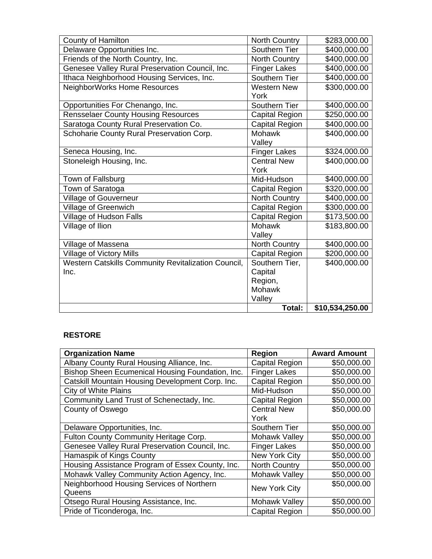| County of Hamilton                                  | North Country         | \$283,000.00             |
|-----------------------------------------------------|-----------------------|--------------------------|
| Delaware Opportunities Inc.                         | Southern Tier         | \$400,000.00             |
| Friends of the North Country, Inc.                  | North Country         | \$400,000.00             |
| Genesee Valley Rural Preservation Council, Inc.     | <b>Finger Lakes</b>   | \$400,000.00             |
| Ithaca Neighborhood Housing Services, Inc.          | Southern Tier         | $\overline{$400,000.00}$ |
| NeighborWorks Home Resources                        | <b>Western New</b>    | \$300,000.00             |
|                                                     | York                  |                          |
| Opportunities For Chenango, Inc.                    | Southern Tier         | \$400,000.00             |
| <b>Rensselaer County Housing Resources</b>          | <b>Capital Region</b> | \$250,000.00             |
| Saratoga County Rural Preservation Co.              | Capital Region        | \$400,000.00             |
| Schoharie County Rural Preservation Corp.           | Mohawk                | \$400,000.00             |
|                                                     | Valley                |                          |
| Seneca Housing, Inc.                                | <b>Finger Lakes</b>   | \$324,000.00             |
| Stoneleigh Housing, Inc.                            | <b>Central New</b>    | \$400,000.00             |
|                                                     | York                  |                          |
| Town of Fallsburg                                   | Mid-Hudson            | \$400,000.00             |
| Town of Saratoga                                    | <b>Capital Region</b> | \$320,000.00             |
| Village of Gouverneur                               | North Country         | \$400,000.00             |
| Village of Greenwich                                | Capital Region        | \$300,000.00             |
| Village of Hudson Falls                             | <b>Capital Region</b> | \$173,500.00             |
| Village of Ilion                                    | Mohawk                | \$183,800.00             |
|                                                     | Valley                |                          |
| Village of Massena                                  | North Country         | \$400,000.00             |
| Village of Victory Mills                            | <b>Capital Region</b> | \$200,000.00             |
| Western Catskills Community Revitalization Council, | Southern Tier,        | \$400,000.00             |
| Inc.                                                | Capital               |                          |
|                                                     | Region,               |                          |
|                                                     | <b>Mohawk</b>         |                          |
|                                                     | Valley                |                          |
|                                                     | Total:                | \$10,534,250.00          |

## **RESTORE**

| <b>Organization Name</b>                         | <b>Region</b>         | <b>Award Amount</b> |
|--------------------------------------------------|-----------------------|---------------------|
| Albany County Rural Housing Alliance, Inc.       | <b>Capital Region</b> | \$50,000.00         |
| Bishop Sheen Ecumenical Housing Foundation, Inc. | <b>Finger Lakes</b>   | \$50,000.00         |
| Catskill Mountain Housing Development Corp. Inc. | <b>Capital Region</b> | \$50,000.00         |
| <b>City of White Plains</b>                      | Mid-Hudson            | \$50,000.00         |
| Community Land Trust of Schenectady, Inc.        | Capital Region        | \$50,000.00         |
| County of Oswego                                 | <b>Central New</b>    | \$50,000.00         |
|                                                  | York                  |                     |
| Delaware Opportunities, Inc.                     | Southern Tier         | \$50,000.00         |
| Fulton County Community Heritage Corp.           | Mohawk Valley         | \$50,000.00         |
| Genesee Valley Rural Preservation Council, Inc.  | <b>Finger Lakes</b>   | \$50,000.00         |
| Hamaspik of Kings County                         | New York City         | \$50,000.00         |
| Housing Assistance Program of Essex County, Inc. | <b>North Country</b>  | \$50,000.00         |
| Mohawk Valley Community Action Agency, Inc.      | Mohawk Valley         | \$50,000.00         |
| Neighborhood Housing Services of Northern        | New York City         | \$50,000.00         |
| Queens                                           |                       |                     |
| Otsego Rural Housing Assistance, Inc.            | Mohawk Valley         | \$50,000.00         |
| Pride of Ticonderoga, Inc.                       | <b>Capital Region</b> | \$50,000.00         |